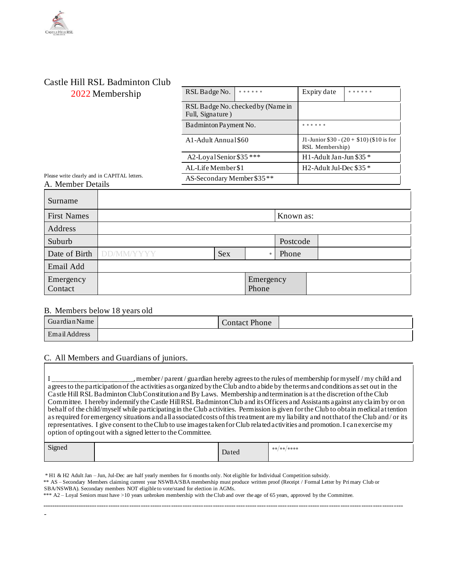## Castle Hill RSL Badminton Club 2022 Membership

| ں یا ب |                                                       |  |                                                              |  |  |
|--------|-------------------------------------------------------|--|--------------------------------------------------------------|--|--|
|        | RSL Badge No.                                         |  | Expiry date                                                  |  |  |
|        | RSL Badge No. checked by (Name in<br>Full, Signature) |  |                                                              |  |  |
|        | Badminton Payment No.                                 |  |                                                              |  |  |
|        | A1-Adult Annual \$60                                  |  | J1-Junior $$30 - (20 + $10)$ (\$10 is for<br>RSL Membership) |  |  |
|        | A2-Loyal Senior \$35 ***                              |  | H1-Adult Jan-Jun \$35 $*$                                    |  |  |
|        | AL-Life Member \$1                                    |  | H2-Adult Jul-Dec $\$35*$                                     |  |  |
|        | AS-Secondary Member \$35**                            |  |                                                              |  |  |

Please write clearly and in CAPITAL letters. A. Member Details

| Surname              |                   |            |                    |           |  |
|----------------------|-------------------|------------|--------------------|-----------|--|
| <b>First Names</b>   |                   |            |                    | Known as: |  |
| Address              |                   |            |                    |           |  |
| Suburb               |                   |            |                    | Postcode  |  |
| Date of Birth        | <b>DD/MM/YYYY</b> | <b>Sex</b> | $\bullet$          | Phone     |  |
| Email Add            |                   |            |                    |           |  |
| Emergency<br>Contact |                   |            | Emergency<br>Phone |           |  |

## B. Members below 18 years old

-

| Guardian Name | Contact Phone |  |
|---------------|---------------|--|
| Email Address |               |  |

## C. All Members and Guardians of juniors.

I \_\_\_\_\_\_\_\_\_\_\_\_\_\_\_\_\_\_\_\_\_\_\_, member / parent / guardian hereby agrees to the rules of membership for myself / my child and agrees to the participation of the activities as organized by the Club and to abide by the terms and conditions as set out in the Castle Hill RSL Badminton Club Constitution and By Laws. Membership and termination is at the discretion of the Club Committee. I hereby indemnify the Castle Hill RSL Badminton Club and its Officers and Assistants against any claim by or on behalf of the child/myself while participating in the Club activities. Permission is given for the Club to obtain medical at tention as required for emergency situations and all associated costs of this treatment are my liability and not that of the Club and / or its representatives. I give consent to the Club to use images taken for Club related activities and promotion. I can exercise my option of opting out with a signed letter to the Committee.

| Signed | Dated | $\bullet\bullet/\bullet\bullet/\bullet\bullet\bullet\bullet$ |
|--------|-------|--------------------------------------------------------------|
|        |       |                                                              |

\* H1 & H2 Adult Jan – Jun, Jul-Dec are half yearly members for 6 months only. Not eligible for Individual Competition subsidy. \*\* AS – Secondary Members claiming current year NSWBA/SBA membership must produce written proof (Receipt / Formal Letter by Primary Club or SBA/NSWBA). Secondary members NOT eligible to vote/stand for election in AGMs. \*\*\* A2 – Loyal Seniors must have >10 years unbroken membership with the Club and over the age of 65 years, approved by the Committee.

------------------------------------------------------------------------------------------------------------------------------------------------------------